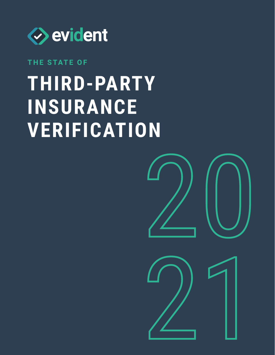

### **THE STATE OF**

## **Third-party insurance verification**

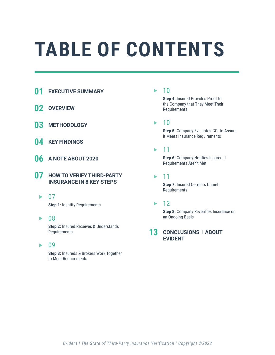## **Table of contents**

- **01 Executive summary**
- **02 Overview**
- **03 Methodology**
- **04 Key findings**
- **06 A note about 2020**
- **07 How to verify third-party insurance in 8 key steps**
	- $\blacktriangleright$  07

**Step 1:** Identify Requirements

▶ 08

 **Step 2:** Insured Receives & Understands Requirements

09  $\blacktriangleright$ 

> **Step 3:** Insureds & Brokers Work Together to Meet Requirements

#### 10

 **Step 4:** Insured Provides Proof to the Company that They Meet Their Requirements

10 ь

> **Step 5:** Company Evaluates COI to Assure it Meets Insurance Requirements

#### 11 ь

 **Step 6:** Company Notifies Insured if Requirements Aren't Met

11 ь

> **Step 7: Insured Corrects Unmet** Requirements

#### ь 12

 **Step 8:** Company Reverifies Insurance on an Ongoing Basis

#### **13 Conclusions | about evident**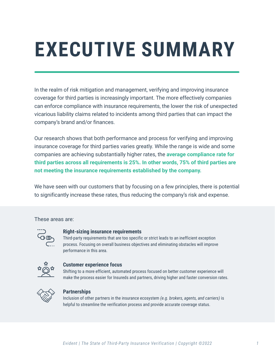# **EXECUTIVE SUMMARY**

In the realm of risk mitigation and management, verifying and improving insurance coverage for third parties is increasingly important. The more effectively companies can enforce compliance with insurance requirements, the lower the risk of unexpected vicarious liability claims related to incidents among third parties that can impact the company's brand and/or finances.

Our research shows that both performance and process for verifying and improving insurance coverage for third parties varies greatly. While the range is wide and some companies are achieving substantially higher rates, the **average compliance rate for third parties across all requirements is 25%. In other words, 75% of third parties are not meeting the insurance requirements established by the company.**

We have seen with our customers that by focusing on a few principles, there is potential to significantly increase these rates, thus reducing the company's risk and expense.

These areas are:



#### **Right-sizing insurance requirements**

Third-party requirements that are too specific or strict leads to an inefficient exception process. Focusing on overall business objectives and eliminating obstacles will improve performance in this area.



#### **Customer experience focus**

Shifting to a more efficient, automated process focused on better customer experience will make the process easier for Insureds and partners, driving higher and faster conversion rates.



#### **Partnerships**

Inclusion of other partners in the insurance ecosystem *(e.g. brokers, agents, and carriers)* is helpful to streamline the verification process and provide accurate coverage status.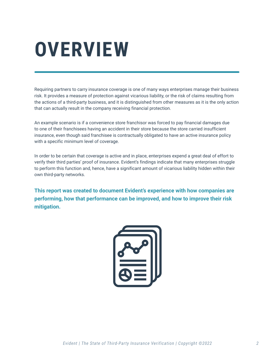## **Overview**

Requiring partners to carry insurance coverage is one of many ways enterprises manage their business risk. It provides a measure of protection against vicarious liability, or the risk of claims resulting from the actions of a third-party business, and it is distinguished from other measures as it is the only action that can actually result in the company receiving financial protection.

An example scenario is if a convenience store franchisor was forced to pay financial damages due to one of their franchisees having an accident in their store because the store carried insufficient insurance, even though said franchisee is contractually obligated to have an active insurance policy with a specific minimum level of coverage.

In order to be certain that coverage is active and in place, enterprises expend a great deal of effort to verify their third parties' proof of insurance. Evident's findings indicate that many enterprises struggle to perform this function and, hence, have a significant amount of vicarious liability hidden within their own third-party networks.

**This report was created to document Evident's experience with how companies are performing, how that performance can be improved, and how to improve their risk mitigation.**

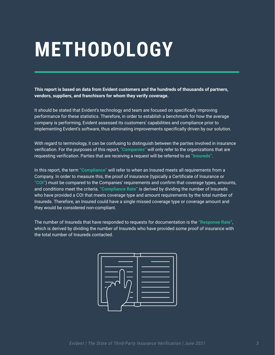## **Methodology**

**This report is based on data from Evident customers and the hundreds of thousands of partners, vendors, suppliers, and franchisors for whom they verify coverage.**

It should be stated that Evident's technology and team are focused on specifically improving performance for these statistics. Therefore, in order to establish a benchmark for how the average company is performing, Evident assessed its customers' capabilities and compliance prior to implementing Evident's software, thus eliminating improvements specifically driven by our solution.

With regard to terminology, it can be confusing to distinguish between the parties involved in insurance verification. For the purposes of this report, **"Companies"** will only refer to the organizations that are requesting verification. Parties that are receiving a request will be referred to as **"Insureds"**.

In this report, the term **"Compliance"** will refer to when an Insured meets all requirements from a Company. In order to measure this, the proof of insurance (typically a Certificate of Insurance or **"COI"**) must be compared to the Companies' requirements and confirm that coverage types, amounts, and conditions meet the criteria. **"Compliance Rate"** is derived by dividing the number of Insureds who have provided a COI that meets coverage type and amount requirements by the total number of Insureds. Therefore, an Insured could have a single missed coverage type or coverage amount and they would be considered non-compliant.

The number of Insureds that have responded to requests for documentation is the **"Response Rate"**, which is derived by dividing the number of Insureds who have provided some proof of insurance with the total number of Insureds contacted.

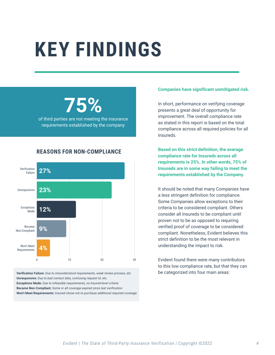## **Key findings**

## **75%**

of third parties are not meeting the insurance requirements established by the company

#### **Reasons for non-compliance**



**Verification Failure:** *Due to misunderstood requirements, weak review process, etc.* **Unresponsive:** *Due to bad contact data, confusing request UI, etc.* **Exceptions Made:** *Due to infeasible requirements, no Insured-level criteria* **Became Non-Compliant:** *Some or all coverage expired since last verification* **Won't Meet Requirements:** *Insured chose not to purchase additional required coverage*

#### **Companies have significant unmitigated risk.**

In short, performance on verifying coverage presents a great deal of opportunity for improvement. The overall compliance rate as stated in this report is based on the total compliance across all required policies for all Insureds.

**Based on this strict definition, the average compliance rate for Insureds across all requirements is 25%. In other words, 75% of Insureds are in some way failing to meet the requirements established by the Company.**

It should be noted that many Companies have a less stringent definition for compliance. Some Companies allow exceptions to their criteria to be considered compliant. Others consider all Insureds to be compliant until proven not to be as opposed to requiring verified proof of coverage to be considered compliant. Nonetheless, Evident believes this strict definition to be the most relevant in understanding the impact to risk.

Evident found there were many contributors to this low compliance rate, but that they can be categorized into four main areas: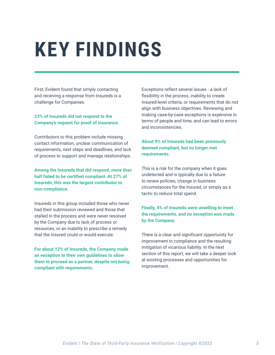## **Key findings**

First, Evident found that simply contacting and receiving a response from Insureds is a challenge for Companies.

#### **23% of Insureds did not respond to the Company's request for proof of insurance.**

Contributors to this problem include missing contact information, unclear communication of requirements, next steps and deadlines, and lack of process to support and manage relationships.

**Among the Insureds that did respond, more than half failed to be certified compliant. At 27% of Insureds, this was the largest contributor to non-compliance.**

Insureds in this group included those who never had their submission reviewed and those that stalled in the process and were never resolved by the Company due to lack of process or resources, or an inability to prescribe a remedy that the Insured could or would execute.

**For about 12% of Insureds, the Company made an exception to their own guidelines to allow them to proceed as a partner, despite not being compliant with requirements.**

Exceptions reflect several issues - a lack of flexibility in the process, inability to create Insured-level criteria, or requirements that do not align with business objectives. Reviewing and making case-by-case exceptions is expensive in terms of people and time, and can lead to errors and inconsistencies.

#### **About 9% of Insureds had been previously deemed compliant, but no longer met requirements.**

This is a risk for the company when it goes undetected and is typically due to a failure to renew policies, change in business circumstances for the Insured, or simply as a tactic to reduce total spend.

#### **Finally, 4% of Insureds were unwilling to meet the requirements, and no exception was made by the Company.**

There is a clear and significant opportunity for improvement in compliance and the resulting mitigation of vicarious liability. In the next section of this report, we will take a deeper look at existing processes and opportunities for improvement.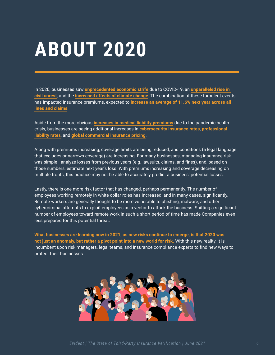## **About 2020**

In 2020, businesses saw **[unprecedented economic strife](https://www.claimsjournal.com/news/national/2021/03/30/302814.htm)** due to COVID-19, an **[unparalleled rise in](https://www.claimsjournal.com/news/national/2021/03/30/302814.htm)  [civil unrest](https://www.claimsjournal.com/news/national/2021/03/30/302814.htm)**, and the **[increased effects of climate change](https://www.natlawreview.com/article/future-climate-change-risk-regulation-insurers-america)**. The combination of these turbulent events has impacted insurance premiums, expected to **[increase an average of 11.6% next year across all](https://www.businessinsurance.com/article/20201222/NEWS06/912338652/Commercial-insurance-rates-set-to-continue-rising-in-2021)  [lines and claims](https://www.businessinsurance.com/article/20201222/NEWS06/912338652/Commercial-insurance-rates-set-to-continue-rising-in-2021)**.

Aside from the more obvious **[increases in medical liability premiums](https://www.mcknights.com/news/medical-liability-premiums-increase-by-highest-rate-in-15-years/)** due to the pandemic health crisis, businesses are seeing additional increases in **[cybersecurity insurance rates](https://www.insurancebusinessmag.com/us/news/professional-liability/rate-increases-rife-in-ae-professional-liability-market-250343.aspx)**, **[professional](https://www.insurancebusinessmag.com/us/news/professional-liability/rate-increases-rife-in-ae-professional-liability-market-250343.aspx)  [liability rates](https://www.insurancebusinessmag.com/us/news/professional-liability/rate-increases-rife-in-ae-professional-liability-market-250343.aspx)**, and **[global commercial insurance pricing](https://www.propertycasualty360.com/2021/03/02/global-commercial-insurance-pricing-up-across-lines-in-q4/?slreturn=20210230101228)**.

Along with premiums increasing, coverage limits are being reduced, and conditions (a legal language that excludes or narrows coverage) are increasing. For many businesses, managing insurance risk was simple - analyze losses from previous years (e.g. lawsuits, claims, and fines), and, based on those numbers, estimate next year's loss. With premiums increasing and coverage decreasing on multiple fronts, this practice may not be able to accurately predict a business' potential losses.

Lastly, there is one more risk factor that has changed, perhaps permanently. The number of employees working remotely in white collar roles has increased, and in many cases, significantly. Remote workers are generally thought to be more vulnerable to phishing, malware, and other cybercriminal attempts to exploit employees as a vector to attack the business. Shifting a significant number of employees toward remote work in such a short period of time has made Companies even less prepared for this potential threat.

**What businesses are learning now in 2021, as new risks continue to emerge, is that 2020 was not just an anomaly, but rather a pivot point into a new world for risk.** With this new reality, it is incumbent upon risk managers, legal teams, and insurance compliance experts to find new ways to protect their businesses.

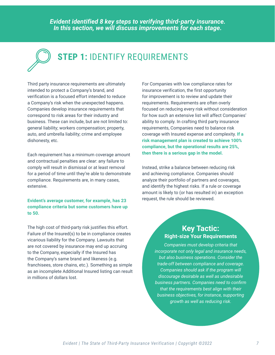*Evident identified 8 key steps to verifying third-party insurance. In this section, we will discuss improvements for each stage.*



## **STEP 1: IDENTIFY REQUIREMENTS**

Third party insurance requirements are ultimately intended to protect a Company's brand, and verification is a focused effort intended to reduce a Company's risk when the unexpected happens. Companies develop insurance requirements that correspond to risk areas for their industry and business. These can include, but are not limited to: general liability; workers compensation; property, auto, and umbrella liability; crime and employee dishonesty, etc.

Each requirement has a minimum coverage amount and contractual penalties are clear: any failure to comply will result in dismissal or at least removal for a period of time until they're able to demonstrate compliance. Requirements are, in many cases, extensive.

**Evident's average customer, for example, has 23 compliance criteria but some customers have up to 50.**

The high cost of third-party risk justifies this effort. Failure of the Insured(s) to be in compliance creates vicarious liability for the Company. Lawsuits that are not covered by insurance may end up accruing to the Company, especially if the Insured has the Company's same brand and likeness (e.g. franchisees, store chains, etc.). Something as simple as an incomplete Additional Insured listing can result in millions of dollars lost.

For Companies with low compliance rates for insurance verification, the first opportunity for improvement is to review and update their requirements. Requirements are often overly focused on reducing every risk without consideration for how such an extensive list will affect Companies' ability to comply. In crafting third party insurance requirements, Companies need to balance risk coverage with Insured expense and complexity. **If a risk management plan is created to achieve 100% compliance, but the operational results are 25%, then there is a serious gap in the model.**

Instead, strike a balance between reducing risk and achieving compliance. Companies should analyze their portfolio of partners and coverages, and identify the highest risks. If a rule or coverage amount is likely to (or has resulted in) an exception request, the rule should be reviewed.

#### **Key Tactic: Right-size Your Requirements**

*Companies must develop criteria that incorporate not only legal and insurance needs, but also business operations. Consider the trade-off between compliance and coverage. Companies should ask if the program will discourage desirable as well as undesirable business partners. Companies need to confirm that the requirements best align with their business objectives, for instance, supporting growth as well as reducing risk.*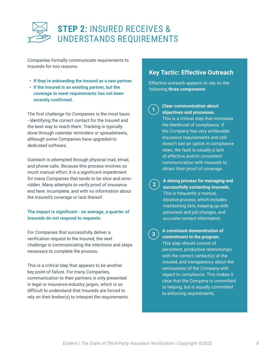

Companies formally communicate requirements to Insureds for two reasons:

- **• If they're onboarding the Insured as a new partner.**
- **• If the Insured is an existing partner, but the coverage to meet requirements has not been recently confirmed.**

The first challenge for Companies is the most basic - identifying the correct contact for the Insured and the best way to reach them. Tracking is typically done through calendar reminders or spreadsheets, although some Companies have upgraded to dedicated software.

Outreach is attempted through physical mail, email, and phone calls. Because this process involves so much manual effort, it is a significant impediment for many Companies that tends to be slow and errorridden. Many attempts to verify proof of insurance end here: incomplete, and with no information about the Insured's coverage or lack thereof.

#### **The impact is significant - on average, a quarter of Insureds do not respond to requests.**

For Companies that successfully deliver a verification request to the Insured, the next challenge is communicating the intentions and steps necessary to complete the process.

This is a critical step that appears to be another key point of failure. For many Companies, communication to their partners is only presented in legal or insurance-industry jargon, which is so difficult to understand that Insureds are forced to rely on their broker(s) to interpret the requirements.

#### **Key Tactic: Effective Outreach**

Effective outreach appears to rely on the following **three components**:

**1**

#### **Clear communication about objectives and processes.**

This is a critical step that increases the likelihood of compliance. If the Company has very achievable insurance requirements and still doesn't see an uptick in compliance rates, the fault is usually a lack of effective and/or consistent communication with Insureds to obtain their proof of coverage.

**2**

**A strong process for managing and successfully contacting Insureds.**  This is frequently a manual, iterative process, which includes maintaining lists, keeping up with personnel and job changes, and accurate contact information.

**3**

#### **A consistent demonstration of commitment to the program.**

This step should consist of persistent, productive relationships with the correct contact(s) at the Insured, and transparency about the seriousness of the Company with regard to compliance. This makes it clear that the Company is committed to helping, but is equally committed to enforcing requirements.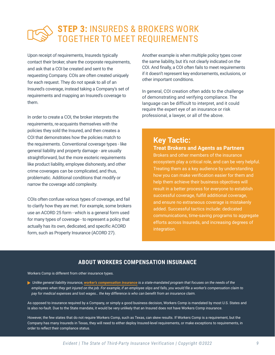## **Step 3:** Insureds & Brokers Work Together to Meet Requirements

Upon receipt of requirements, Insureds typically contact their broker, share the corporate requirements, and ask that a COI be created and sent to the requesting Company. COIs are often created uniquely for each request. They do not speak to all of an Insured's coverage, instead taking a Company's set of requirements and mapping an Insured's coverage to them.

In order to create a COI, the broker interprets the requirements, re-acquaints themselves with the policies they sold the Insured, and then creates a COI that demonstrates how the policies match to the requirements. Conventional coverage types - like general liability and property damage - are usually straightforward, but the more esoteric requirements like product liability, employee dishonesty, and other crime coverages can be complicated, and thus, problematic. Additional conditions that modify or narrow the coverage add complexity.

COIs often confuse various types of coverage, and fail to clarify how they are met. For example, some brokers use an ACORD 25 form - which is a general form used for many types of coverage - to represent a policy that actually has its own, dedicated, and specific ACORD form, such as Property Insurance (ACORD 27).

Another example is when multiple policy types cover the same liability, but it's not clearly indicated on the COI. And finally, a COI often fails to meet requirements if it doesn't represent key endorsements, exclusions, or other important conditions.

In general, COI creation often adds to the challenge of demonstrating and verifying compliance. The language can be difficult to interpret, and it could require the expert eye of an insurance or risk professional, a lawyer, or all of the above.

### **Key Tactic:**

### **Treat Brokers and Agents as Partners**

Brokers and other members of the insurance ecosystem play a critical role, and can be very helpful. Treating them as a key audience by understanding how you can make verification easier for them and help them achieve their business objectives will result in a better process for everyone to establish successful coverage, fulfill additional coverage, and ensure no extraneous coverage is mistakenly added. Successful tactics include: dedicated communications, time-saving programs to aggregate efforts across Insureds, and increasing degrees of integration.

#### **About workers compensation insurance**

Workers Comp is different from other insurance types.

 *Unlike general liability insurance, [worker's compensation insurance](https://www.ehealthinsurance.com/resources/small-business/whats-difference-general-liability-insurance-workers-compensation-insurance) is a state-mandated program that focuses on the needs of the employees when they get injured on the job. For example, if an employee slips and falls, you would file a worker's compensation claim to pay for medical expenses and lost wages… the key difference is who can benefit from an insurance claim.*

As opposed to insurance required by a Company, or simply a good business decision, Workers Comp is mandated by most U.S. States and is also no-fault. Due to the State mandate, it would be very unlikely that an Insured does not have Workers Comp insurance.

However, the few states that do not require Workers Comp, such as Texas, can skew results. If Workers Comp is a requirement, but the Company has many Insureds in Texas, they will need to either deploy Insured-level requirements, or make exceptions to requirements, in order to reflect their compliance status.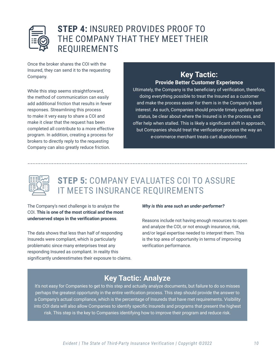

### **Step 4:** Insured Provides Proof to the Company that They Meet Their **REQUIREMENTS**

Once the broker shares the COI with the Insured, they can send it to the requesting Company.

While this step seems straightforward, the method of communication can easily add additional friction that results in fewer responses. Streamlining this process to make it very easy to share a COI and make it clear that the request has been completed all contribute to a more effective program. In addition, creating a process for brokers to directly reply to the requesting Company can also greatly reduce friction.

#### **Key Tactic: Provide Better Customer Experience**

Ultimately, the Company is the beneficiary of verification, therefore, doing everything possible to treat the Insured as a customer and make the process easier for them is in the Company's best interest. As such, Companies should provide timely updates and status, be clear about where the Insured is in the process, and offer help when stalled. This is likely a significant shift in approach, but Companies should treat the verification process the way an e-commerce merchant treats cart abandonment.



## **Step 5:** Company Evaluates COI to Assure it Meets Insurance Requirements

The Company's next challenge is to analyze the COI. **This is one of the most critical and the most underserved steps in the verification process**.

The data shows that less than half of responding Insureds were compliant, which is particularly problematic since many enterprises treat any responding Insured as compliant. In reality this significantly underestimates their exposure to claims.

#### *Why is this area such an under-performer?*

Reasons include not having enough resources to open and analyze the COI, or not enough insurance, risk, and/or legal expertise needed to interpret them. This is the top area of opportunity in terms of improving verification performance.

### **Key Tactic: Analyze**

It's not easy for Companies to get to this step and actually analyze documents, but failure to do so misses perhaps the greatest opportunity in the entire verification process. This step should provide the answer to a Company's actual compliance, which is the percentage of Insureds that have met requirements. Visibility into COI data will also allow Companies to identify specific Insureds and programs that present the highest risk. This step is the key to Companies identifying how to improve their program and reduce risk.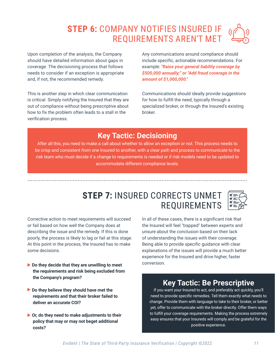## **Step 6:** Company Notifies Insured if Requirements Aren't Met

Upon completion of the analysis, the Company should have detailed information about gaps in coverage. The decisioning process that follows needs to consider if an exception is appropriate and, if not, the recommended remedy.

This is another step in which clear communication is critical. Simply notifying the Insured that they are out of compliance without being prescriptive about how to fix the problem often leads to a stall in the verification process.

Any communications around compliance should include specific, actionable recommendations. For example: *"Raise your general liability coverage by \$500,000 annually;" or "Add fraud coverage in the amount of \$1,000,000."*

Communications should ideally provide suggestions for how to fulfill the need, typically through a specialized broker, or through the Insured's existing broker.

### **Key Tactic: Decisioning**

After all this, you need to make a call about whether to allow an exception or not. This process needs to be crisp and consistent from one Insured to another, with a clear path and process to communicate to the risk team who must decide if a change to requirements is needed or if risk models need to be updated to accommodate different compliance levels.

### **STEP 7: INSURED CORRECTS UNMET REQUIREMENTS**

Corrective action to meet requirements will succeed or fail based on how well the Company does at describing the issue and the remedy. If this is done poorly, the process is likely to lag or fail at this stage. At this point in the process, the Insured has to make some decisions.

- ▶ Do they decide that they are unwilling to meet  **the requirements and risk being excluded from the Company's program?**
- **Do they believe they should have met the requirements and that their broker failed to deliver an accurate COI?**
- **Or, do they need to make adjustments to their policy that may or may not beget additional costs?**

In all of these cases, there is a significant risk that the Insured will feel "trapped" between experts and unsure about the conclusion based on their lack of understanding the issues with their coverage. Being able to provide specific guidance with clear explanations of the issues will provide a much better experience for the Insured and drive higher, faster conversion.

### **Key Tactic: Be Prescriptive**

If you want your Insured to act, and preferably act quickly, you'll need to provide specific remedies. Tell them exactly what needs to change. Provide them with language to take to their broker, or better yet, offer to communicate with the broker directly. Offer them ways to fulfill your coverage requirements. Making the process extremely easy ensures that your Insureds will comply and be grateful for the positive experience.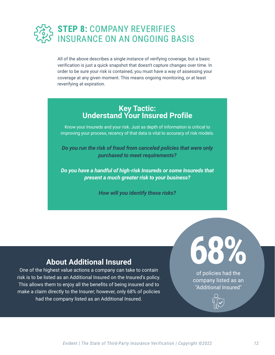

All of the above describes a single instance of verifying coverage, but a basic verification is just a quick snapshot that doesn't capture changes over time. In order to be sure your risk is contained, you must have a way of assessing your coverage at any given moment. This means ongoing monitoring, or at least reverifying at expiration.

#### **Key Tactic: Understand Your Insured Profile**

Know your Insureds and your risk. Just as depth of information is critical to improving your process, recency of that data is vital to accuracy of risk models.

*Do you run the risk of fraud from canceled policies that were only purchased to meet requirements?*

*Do you have a handful of high-risk Insureds or some Insureds that present a much greater risk to your business?*

*How will you identify these risks?*

### **About Additional Insured**

One of the highest value actions a company can take to contain risk is to be listed as an Additional Insured on the Insured's policy. This allows them to enjoy all the benefits of being insured and to make a claim directly to the Insurer; however, only 68% of policies had the company listed as an Additional Insured.

**68%** of policies had the company listed as an "Additional Insured"